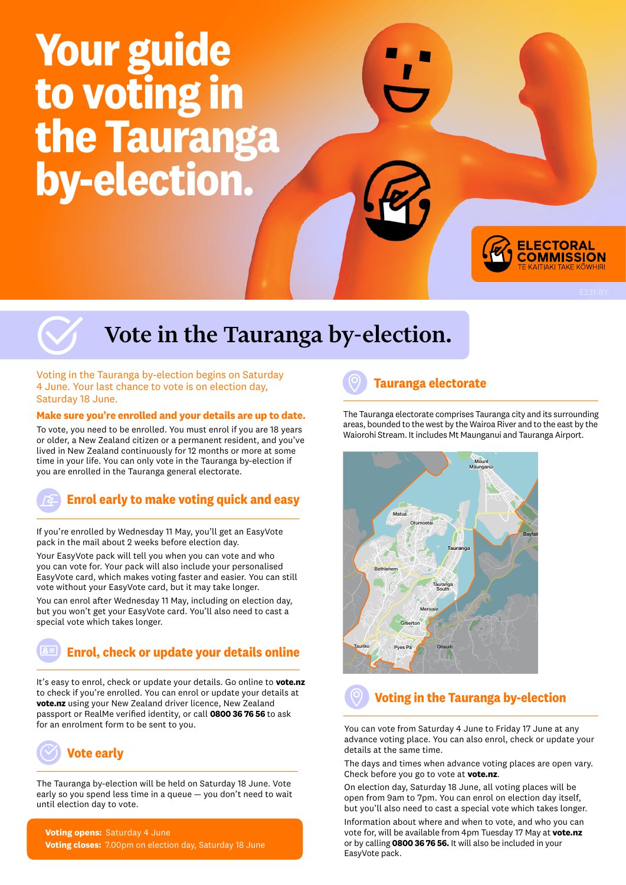**Your guide to voting in the Tauranga by-election.**

> **ELECTORA COMMISSION**

# Vote in the Tauranga by-election.

Voting in the Tauranga by-election begins on Saturday 4 June. Your last chance to vote is on election day, Saturday 18 June.

#### **Make sure you're enrolled and your details are up to date.**

To vote, you need to be enrolled. You must enrol if you are 18 years or older, a New Zealand citizen or a permanent resident, and you've lived in New Zealand continuously for 12 months or more at some time in your life. You can only vote in the Tauranga by-election if you are enrolled in the Tauranga general electorate.

### **Enrol early to make voting quick and easy**

If you're enrolled by Wednesday 11 May, you'll get an EasyVote pack in the mail about 2 weeks before election day.

Your EasyVote pack will tell you when you can vote and who you can vote for. Your pack will also include your personalised EasyVote card, which makes voting faster and easier. You can still vote without your EasyVote card, but it may take longer.

You can enrol after Wednesday 11 May, including on election day, but you won't get your EasyVote card. You'll also need to cast a special vote which takes longer.

## **Enrol, check or update your details online**

It's easy to enrol, check or update your details. Go online to **vote.nz**  to check if you're enrolled. You can enrol or update your details at **vote.nz** using your New Zealand driver licence, New Zealand passport or RealMe verified identity, or call **0800 36 76 56** to ask for an enrolment form to be sent to you.



The Tauranga by-election will be held on Saturday 18 June. Vote early so you spend less time in a queue — you don't need to wait until election day to vote.

**Voting opens:** Saturday 4 June **Voting closes:** 7.00pm on election day, Saturday 18 June

# **Tauranga electorate**

The Tauranga electorate comprises Tauranga city and its surrounding areas, bounded to the west by the Wairoa River and to the east by the Waiorohi Stream. It includes Mt Maunganui and Tauranga Airport.



## **Voting in the Tauranga by-election**

You can vote from Saturday 4 June to Friday 17 June at any advance voting place. You can also enrol, check or update your details at the same time.

The days and times when advance voting places are open vary. Check before you go to vote at **vote.nz**.

On election day, Saturday 18 June, all voting places will be open from 9am to 7pm. You can enrol on election day itself, but you'll also need to cast a special vote which takes longer.

Information about where and when to vote, and who you can vote for, will be available from 4pm Tuesday 17 May at **vote.nz** or by calling **0800 36 76 56.** It will also be included in your EasyVote pack.